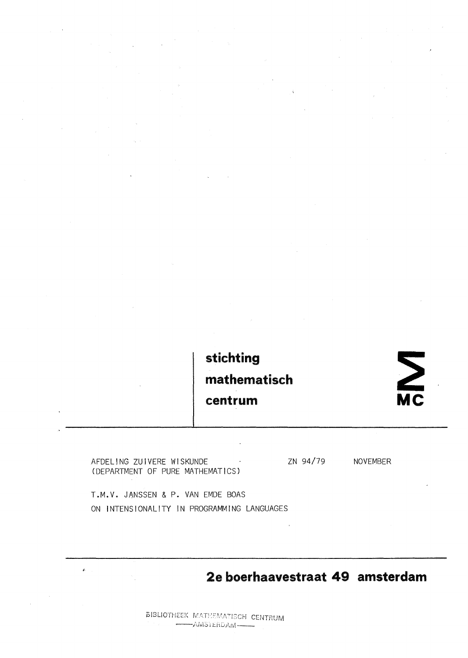**stichting mathematisch centrum** 



AFDELlNG ZUIVERE WISKUNDE  $\sim 100$ (DEPARTMENT OF PURE MATHEMATICS)

ZN 94/79

NOVEMBER

T.M.V. JANSSEN & P. VAN EMDE BOAS ON INTENSIONALITY IN PROGRAMMING LANGUAGES

**2e boerhaavestraat 49 amsterdam**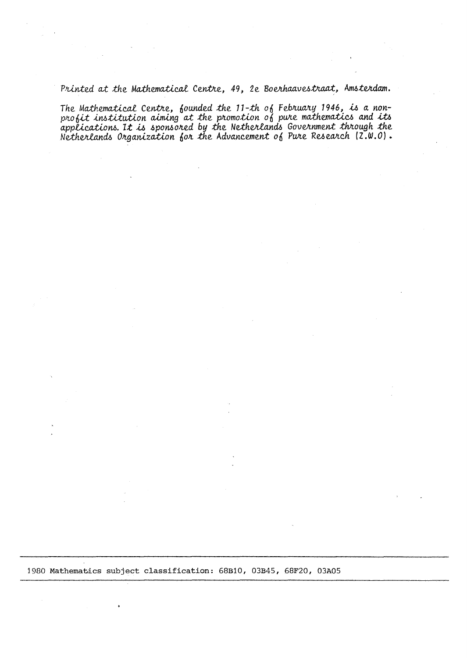*Printed at the Mathematical Centre, 49, 2e Boerhaavestraat, Amsterdam.* 

The Mathematical Centre, founded the 11-th of February 1946, is a nonprofit institution aiming at the promotion of pure mathematics and its *app.Uc.a..tlon1>. 1;t, ,u, .6pon1>0Jr..ed* by *;t.he Nuhelll.a.nd6 Gove.Jr..nment ruough ;t,he*   $Netherlands$  Organization for the Advancement of Pure Research (Z.W.O).

1980 Mathematics subject classification: 68B10, 03B45, 68F20, 03A05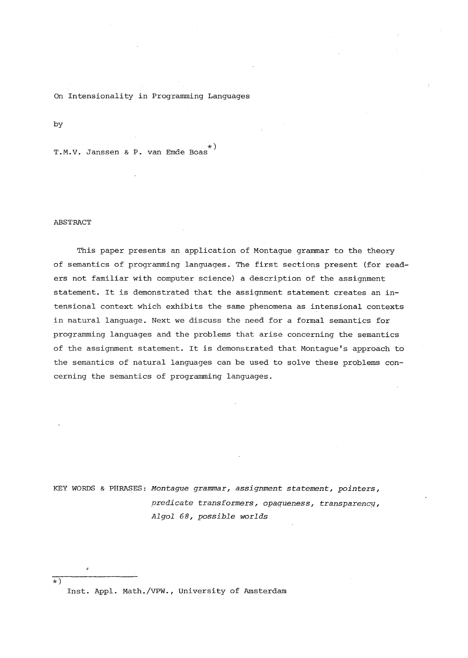On Intensionality in Programming Languages

by

\*) T.M.V. Janssen & P. van Emde Boas

#### ABSTRACT

 $\star$ )

This paper presents an application of Montague grammar to the theory of semantics of programming languages. The first sections present (for readers not familiar with computer science) a description of the assignment statement. It is demonstrated that the assignment statement creates an intensional context which exhibits the same phenomena as intensional contexts in natural language. Next we discuss the need for a formal semantics for programming languages and the problems that arise concerning the semantics of the assignment statement. It is demonstrated that Montague's approach to the semantics of natural languages can be used to solve these problems concerning the semantics of programming languages.

KEY WORDS & PHRASES: *Montague grammar, assignment statement, pointers, predicate transformers, opaqueness, transparency, Algol 68, possible worlds* 

Inst. Appl. Math./VPW., University of Amsterdam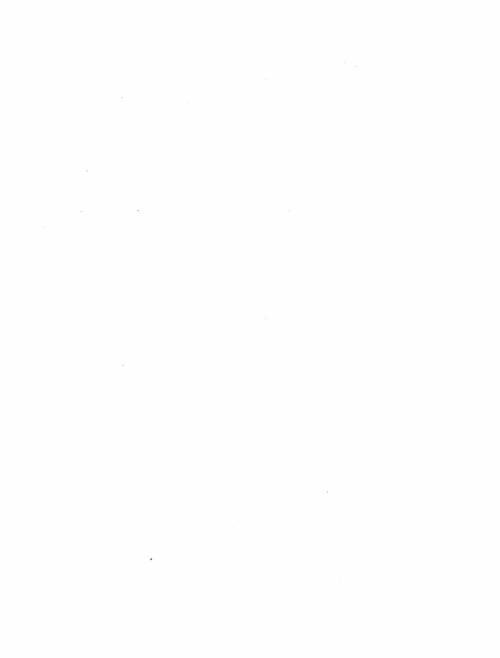$\label{eq:2.1} \mathcal{S} = \frac{1}{2} \sum_{i=1}^n \frac{1}{2} \sum_{j=1}^n \frac{1}{2} \sum_{j=1}^n \frac{1}{2} \sum_{j=1}^n \frac{1}{2} \sum_{j=1}^n \frac{1}{2} \sum_{j=1}^n \frac{1}{2} \sum_{j=1}^n \frac{1}{2} \sum_{j=1}^n \frac{1}{2} \sum_{j=1}^n \frac{1}{2} \sum_{j=1}^n \frac{1}{2} \sum_{j=1}^n \frac{1}{2} \sum_{j=1}^n \frac{1}{2} \sum_{j=$  $\label{eq:2.1} \mathcal{L}(\mathcal{L}(\mathcal{L}))=\mathcal{L}(\mathcal{L}(\mathcal{L}))=\mathcal{L}(\mathcal{L}(\mathcal{L}))=\mathcal{L}(\mathcal{L}(\mathcal{L}))=\mathcal{L}(\mathcal{L}(\mathcal{L}))=\mathcal{L}(\mathcal{L}(\mathcal{L}))=\mathcal{L}(\mathcal{L}(\mathcal{L}))=\mathcal{L}(\mathcal{L}(\mathcal{L}))=\mathcal{L}(\mathcal{L}(\mathcal{L}))=\mathcal{L}(\mathcal{L}(\mathcal{L}))=\mathcal{L}(\mathcal{L}(\mathcal{L}))=\mathcal{L}(\mathcal{L}(\$  $\label{eq:2.1} \frac{1}{\sqrt{2}}\int_{\mathbb{R}^3}\frac{1}{\sqrt{2}}\left(\frac{1}{\sqrt{2}}\right)^2\frac{1}{\sqrt{2}}\left(\frac{1}{\sqrt{2}}\right)^2\frac{1}{\sqrt{2}}\left(\frac{1}{\sqrt{2}}\right)^2\frac{1}{\sqrt{2}}\left(\frac{1}{\sqrt{2}}\right)^2\frac{1}{\sqrt{2}}\left(\frac{1}{\sqrt{2}}\right)^2\frac{1}{\sqrt{2}}\frac{1}{\sqrt{2}}\frac{1}{\sqrt{2}}\frac{1}{\sqrt{2}}\frac{1}{\sqrt{2}}\frac{1}{\sqrt{2}}$ 

 $\label{eq:4} \Phi_{\rm{eff}} = \frac{1}{2} \sum_{i=1}^{N} \frac{1}{2} \sum_{i=1}^{N} \frac{1}{2} \sum_{i=1}^{N} \frac{1}{2} \sum_{i=1}^{N} \frac{1}{2} \sum_{i=1}^{N} \frac{1}{2} \sum_{i=1}^{N} \frac{1}{2} \sum_{i=1}^{N} \frac{1}{2} \sum_{i=1}^{N} \frac{1}{2} \sum_{i=1}^{N} \frac{1}{2} \sum_{i=1}^{N} \frac{1}{2} \sum_{i=1}^{N} \frac{1}{2} \sum_{i=1}^{N}$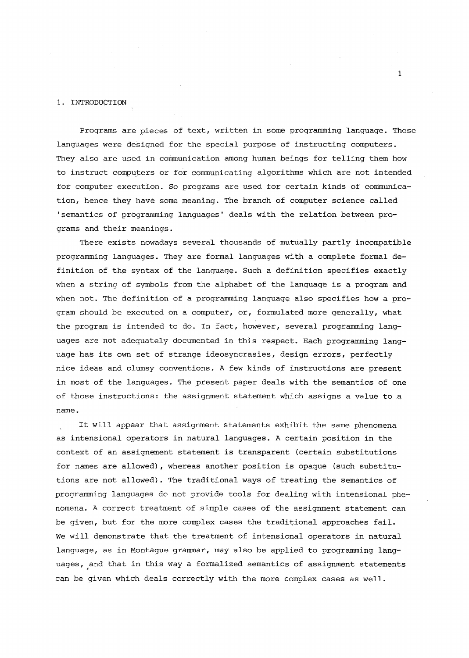## 1. INTRODUCTION

Programs are pieces of text, written in some programming language. These languages were designed for the special purpose of instructing computers. They also are used in communication among human beings for telling them how to instruct computers or for communicating algorithms which are not intended for computer execution. So programs are used for certain kinds of communication, hence they have some meaning. The branch of computer science called 'semantics of programming languages' deals with the relation between programs and their meanings.

1

There exists nowadays several thousands of mutually partly incompatible programming languages. They are formal languages with a complete formal definition of the syntax of the language. Such a definition specifies exactly when a string of symbols from the alphabet of the language is a program and when not. The definition of a programming language also specifies how a program should be executed on a computer, or, formulated more generally, what the program is intended to do. In fact, however, several programming languages are not adequately documented in thjs respect. Each programming language has its own set of strange ideosyncrasies, design errors, perfectly nice ideas and clumsy conventions. A few kinds of instructions are present in most of the languages. The present paper deals with the semantics of one of those instructions: the assignment statement which assigns a value to a name.

It will appear that assignment statements exhibit the same phenomena as intensional operators in natural languages. A certain position in the context of an assignement statement is transparent (certain substitutions for names are allowed), whereas another position is opaque (such substitutions are not allowed). The traditional ways of treating the semantics of programming languages do not provide tools for dealing with intensional phenomena. A correct treatment of simple cases of the assignment statement can be given, but for the more complex cases the traditional approaches fail. We will demonstrate that the treatment of intensional operators in natural language, as in Montague grammar, may also be applied to programming languages, and that in this way a formalized semantics of assignment statements can be given which deals correctly with the more complex cases as well.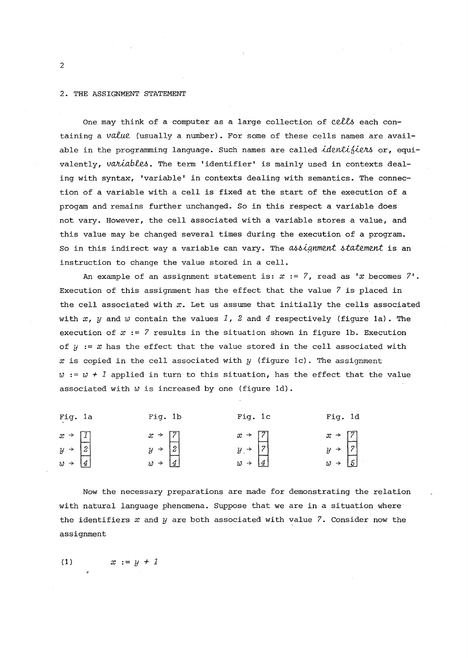#### 2. THE ASSIGNMENT STATEMENT

One may think of a computer as a large collection of  $\mathcal{C}\ell\mathcal{U}\mathcal{S}$  each containing a *value.* (usually a number). For some of these cells names are available in the programming language. Such names are called *identifiers* or, equivalently, *vatiables*. The term 'identifier' is mainly used in contexts dealing with syntax, 'variable' in contexts dealing with semantics. The connection of a variable with a cell is fixed at the start of the execution of a progam and remains further unchanged. So in this respect a variable does not vary. However, the cell associated with a variable stores a value, and this value may be changed several times during the execution of a program. So in this indirect way a variable can vary. The *assignment statement* is an instruction to change the value stored in a cell.

An example of an assignment statement is: *x* := *7,* read as *'x* becomes *7'.*  Execution of this assignment has the effect that the value 7 is placed in the cell associated with *x.* Let us assume that initially the cells associated with *x,* y and *w* contain the values *1, 2* and *4* respectively (figure la). The execution of  $x := 7$  results in the situation shown in figure 1b. Execution of  $y := x$  has the effect that the value stored in the cell associated with x is copied in the cell associated with  $y$  (figure 1c). The assignment *w* := *w* + *1* applied in turn to this situation, has the effect that the value associated with *w* is increased by one (figure 1d).

| Fig. 1a                                                                                                                    | Fig. 1b                                                   | Fig. 1c                                                                        | Fig. 1d                                                                     |
|----------------------------------------------------------------------------------------------------------------------------|-----------------------------------------------------------|--------------------------------------------------------------------------------|-----------------------------------------------------------------------------|
| $\begin{array}{ccc} x & \rightarrow & \boxed{1} \\ y & \rightarrow & \boxed{2} \\ w & \rightarrow & \boxed{4} \end{array}$ | $x \rightarrow 7$<br>$y \rightarrow 2$<br>$w + \boxed{4}$ | $x \rightarrow \lceil 7 \rceil$<br>$y \rightarrow \boxed{7}$<br>$w + \sqrt{4}$ | $\begin{array}{ccc}\nx & + & 7 \\ y & + & 7 \\ \omega & + & 5\n\end{array}$ |

Now the necessary preparations are made for demonstrating the relation with natural language phenomena. Suppose that we are in a situation where the identifiers *x* and y are both associated with value *7.* Consider now the assignment

(1)  $x := y + 1$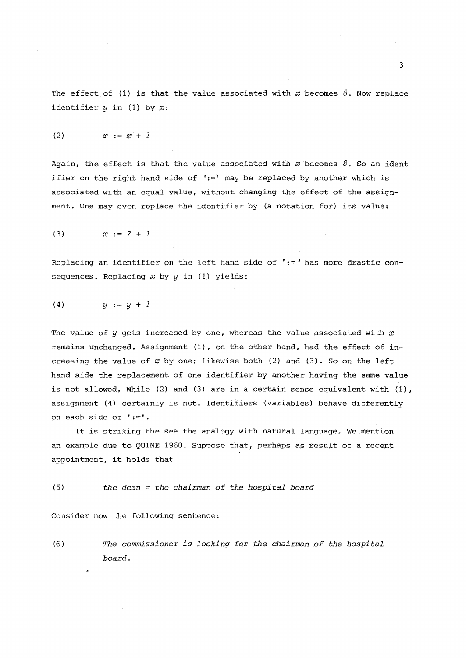The effect of (1) is that the value associated with  $x$  becomes  $\beta$ . Now replace identifier  $y$  in (1) by  $x$ :

$$
(2) \qquad \qquad x := x + 1
$$

Again, the effect is that the value associated with  $x$  becomes  $\beta$ . So an identifier on the right hand side of ':=' may be replaced by another which is associated with an equal value, without changing the effect of the assignment. One may even replace the identifier by (a notation for) its value:

$$
(3) \t x := 7 + 1
$$

Replacing an identifier on the left hand side of  $':= '$  has more drastic consequences. Replacing  $x$  by  $y$  in (1) yields:

$$
(4) \qquad \qquad y := y + 1
$$

The value of y gets increased by one, whereas the value associated with *x*  remains unchanged. Assignment (1), on the other hand, had the effect of increasing the value of *x* by one; likewise both (2) and (3). So on the left hand side the replacement of one identifier by another having the same value is not allowed. While (2) and (3) are in a certain sense equivalent with (1), assignment (4) certainly is not. Identifiers (variables) behave differently on each side of':='.

It is striking the see the analogy with natural language. We mention an example due to QUINE 1960. Suppose that, perhaps as result of a recent appointment, it holds that

(5) *the dean= the chairman of the hospital board* 

Consider now the following sentence:

(6) *The commissioner is looking for the chairman of the hospital board.*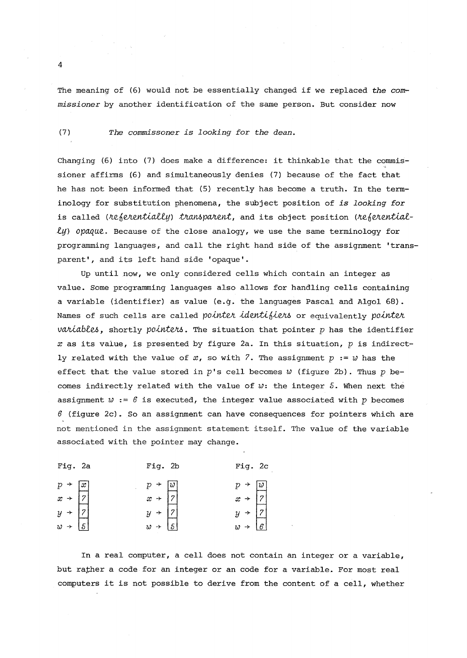The meaning of (6) would not be essentially changed if we replaced *the commissioner* by another identification of the same person. But consider now

# (7) *The commissoner is looking for the dean.*

Changing (6) into (7) does make a difference: it thinkable that the commissioner affirms (6) and simultaneously denies (7) because of the fact that he has not been informed that (5) recently has become a truth. In the terminology for substitution phenomena, the subject position of *is looking for*  is called (*neferentially*) *transparent*, and its object position (neferential*ly) opaque.* Because of the close analogy, we use the same terminology for programming languages, and call the right hand side of the assignment 'transparent', and its left hand side 'opaque'.

Up until now, we only considered cells which contain an integer as value. Some programming languages also allows for handling cells containing a variable (identifier) as value (e.g. the languages Pascal and Algol 68). Names of such cells are called *pointer identifiers* or equivalently *pointer variables, shortly pointers.* The situation that pointer *p* has the identifier  $x$  as its value, is presented by figure 2a. In this situation,  $p$  is indirectly related with the value of  $x$ , so with  $7$ . The assignment  $p := w$  has the effect that the value stored in *p's* cell becomes *w* (figure 2b). Thus *p* becomes indirectly related with the value of *W:* the integer *5.* When next the assignment  $w := 6$  is executed, the integer value associated with p becomes *6* (figure 2c). So an assignment can have consequences for pointers which are not mentioned in the assignment statement itself. The value of the variable associated with the pointer may change.

| Fig. 2a                                  | Fig. 2b                           | Fig. 2c                                                                                    |
|------------------------------------------|-----------------------------------|--------------------------------------------------------------------------------------------|
| $p \rightarrow \boxed{x}$                | $p \rightarrow  w $               | $\boldsymbol{v}$<br>$\rightarrow$                                                          |
| $x \rightarrow$<br>$y \rightarrow$<br> 7 | $\overline{z}$<br>$x \rightarrow$ | $\begin{array}{c}\n\overline{w} \\ 7 \\ 7 \\ \overline{z}\n\end{array}$<br>$x \rightarrow$ |
|                                          | $y \rightarrow$<br>$\overline{z}$ | $y \rightarrow$                                                                            |
| $w \rightarrow$                          | $w \rightarrow$                   | $\boldsymbol{\delta}$<br>$\omega$<br>$\rightarrow$                                         |

In a real computer, a cell does not contain an integer or a variable, but rather a code for an integer or an code for a variable. For most real computers it is not possible to derive from the content of a cell, whether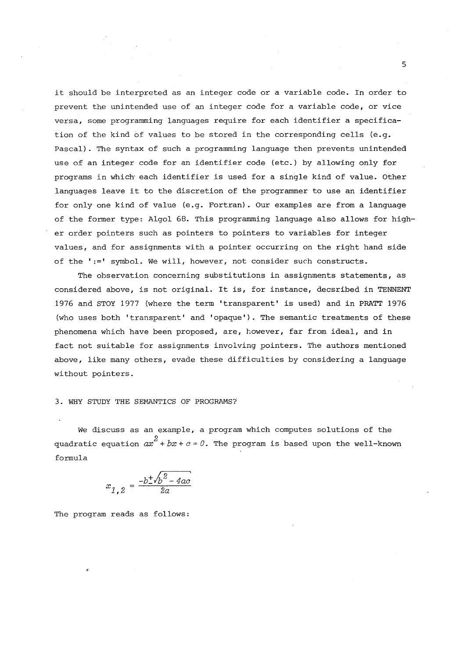it should be interpreted as an integer code or a variable code. In order to prevent the unintended use of an integer code for a variable code, or vice versa, some programming languages require for each identifier a specification of the kind of values to be stored in the corresponding cells (e.g. Pascal). The syntax of such a programming language then prevents unintended use of an integer code for an identifier code (etc.) by allowing only for programs in which· each identifier is used for a single kind of value. Other languages leave it to the discretion of the programmer to use an identifier for only one kind of value (e.g. Fortran). Our examples are from a language of the former type: Algol 68. This programming language also allows for higher order pointers such as pointers to pointers to variables for integer values, and for assignments with a pointer occurring on the right hand side of the ':=' symbol. we will, however, not consider such constructs.

The observation concerning substitutions in assignments statements, as considered above, is not original. It is, for instance, decsribed in TENNENT 1976 and STOY 1977 (where the term 'transparent' is used) and in PRATT 1976 (who uses both 'transparent' and 'opaque'). The semantic treatments of these phenomena which have been proposed, are, however, far from ideal, and in fact not suitable for assignments involving pointers. The authors mentioned above, like many others, evade these difficulties by considering a language without pointers.

# 3. WHY STUDY THE SEMANTICS OF PROGRAMS?

We discuss as an example, a program which computes solutions of the quadratic equation  $ax^2 + bx + c = 0$ . The program is based upon the well-known formula

$$
x_{1,2} = \frac{-b \pm \sqrt{b^2 - 4ac}}{2a}
$$

The program reads as follows: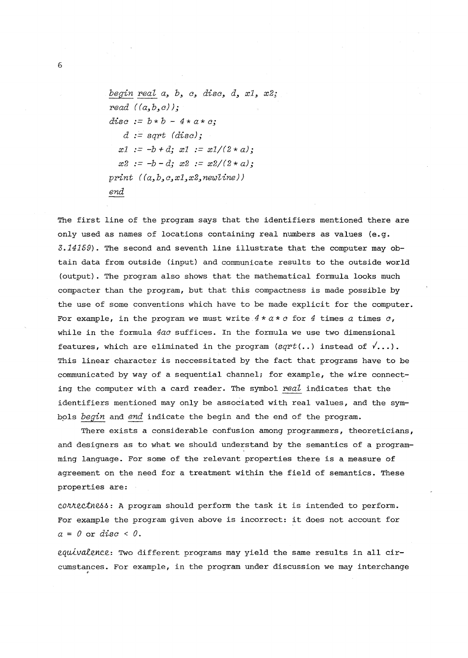begin real 
$$
a, b, c, disc, d, x1, x2;
$$
  
\nread  $((a, b, c))$ ;  
\ndisc :=  $b * b - 4 * a * c$ ;  
\nd := sqrt (disc);  
\n $x1 := -b + d$ ;  $x1 := x1/(2 * a)$ ;  
\n $x2 := -b - d$ ;  $x2 := x2/(2 * a)$ ;  
\nprint  $((a, b, c, x1, x2, newline))$   
\nend

The first line of the program says that the identifiers mentioned there are only used as names of locations containing real numbers as values (e.g. *3.14159).* The second and seventh line illustrate that the computer may obtain data from outside (input) and communicate results to the outside world (output). The program also shows that the mathematical formula looks much compacter than the program, but that this compactness is made possible by the use of some conventions which have to be made explicit for the computer. For example, in the program we must write  $4 * a * c$  for  $4$  times  $a$  times  $c$ , while in the formula *4ac* suffices. In the formula we use two dimensional features, which are eliminated in the program  $(sqrt(+)$  instead of  $\checkmark \dots)$ . This linear character is neccessitated by the fact that programs have to be communicated by way of a sequential channel; for example, the wire connecting the computer with a card reader. The symbol *real* indicates that the identifiers mentioned may only be associated with real values, and the symbpls *begin* and *end* indicate the begin and the end of the program.

There exists a considerable confusion among programmers, theoreticians, and designers as to what we should understand by the semantics of a programming language. For some of the relevant properties there is a measure of agreement on the need for a treatment within the field of semantics. These properties are:

*QOJULednU-0:* A program should perform the task it is intended to perform. For example the program given above is incorrect: it does not account for  $a = 0$  or  $disc < 0$ .

equivalence: Two different programs may yield the same results in all circumstances. For example, in the program under discussion we may interchange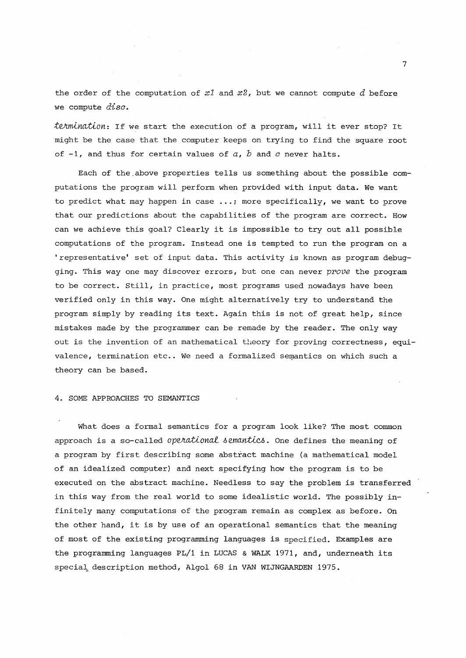the order of the computation of  $x1$  and  $x2$ , but we cannot compute  $d$  before we compute *disc.* 

*XeJtrnina;tlon:* If we start the execution of a program, will it ever stop? It might be the case that the computer keeps on trying to find the square root of  $-1$ , and thus for certain values of  $a$ ,  $b$  and  $c$  never halts.

Each of the above properties tells us something about the possible computations the program will perform when provided with input data. We want to predict what may happen in case ...; more specifically, we want to prove that our predictions about the capabilities of the program are correct. How can we achieve this goal? Clearly it is impossible to try out all possible computations of the program. Instead one is tempted to run the program on a 'representative' set of input data. This activity is known as program debugging. This way one may discover errors, but one can never *prove* the program to be correct. Still, in practice, most programs used nowadays have been verified only in this way. One might alternatively try to understand the program simply by reading its text. Again this is not of great help, since mistakes made by the programmer can be remade by the reader. The only way out is the invention of an mathematical theory for proving correctness, equivalence, termination etc.. We need a formalized semantics on which such a theory can be based.

#### 4. SOME APPROACHES TO SEMANTICS

What does a formal semantics for a program look like? The most common approach is a so-called *operational semantics*. One defines the meaning of a program by first describing some abstract machine (a mathematical model of an idealized computer) and next specifying how the program is to be executed on the abstract machine. Needless to say the problem is transferred in this way from the real world to some idealistic world. The possibly infinitely many computations of the program remain as complex as before. On the other hand, it is by use of an operational semantics that the meaning of most of the existing programming languages is specified. Examples are the programming languages PL/1 in LUCAS & WALK 1971, and, underneath its special description method, Algol 68 in VAN WIJNGAARDEN 1975.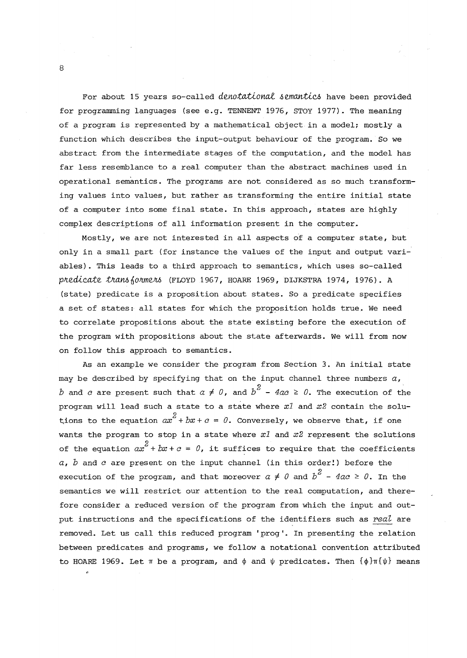For about 15 years so-called *denotational semantics* have been provided for programming languages {see e.g. TENNENT 1976, STOY 1977). The meaning of a program is represented by a mathematical object in a model; mostly a function which describes the input-output behaviour of the program. So we abstract from the intermediate stages of the computation, and the model has far less resemblance to a real computer than the abstract machines used in operational semantics. The programs are not considered as so much transforming values into values, but rather as transforming the entire initial state of a computer into some final state. In this approach, states are highly complex descriptions of all information present in the computer.

Mostly, we are not interested in all aspects of a computer state, but only in a small part (for instance the values of the input and output variables). This leads to a third approach to semantics, which uses so-called predicate trans formers (FLOYD 1967, HOARE 1969, DIJKSTRA 1974, 1976). A (state) predicate is a proposition about states. So a predicate specifies a set of states: all states for which the proposition holds true. We need to correlate propositions about the state existing before the execution of the program with propositions about the state afterwards. we will from now on follow this approach to semantics.

As an example we consider the program from Section 3. An initial state may be described by specifying that on the input channel three numbers  $a<sub>r</sub>$ b and c are present such that  $a \neq 0$ , and  $b^2 - 4ac \geq 0$ . The execution of the program will lead such a state to a state where *xl* and *x2* contain the solutions to the equation  $ax^2 + bx + c = 0$ . Conversely, we observe that, if one wants the program to stop in a state where *xl* and *x2* represent the solutions of the equation  $ax^2 + bx + c = 0$ , it suffices to require that the coefficients  $a, b$  and c are present on the input channel (in this order!) before the execution of the program, and that moreover  $a \neq 0$  and  $b^2 - 4ac \geq 0$ . In the semantics we will restrict our attention to the real computation, and therefore consider a reduced version of the program from which the input and output instructions and the specifications of the identifiers such as *real* are removed. Let us call this reduced program 'prog'. In presenting the relation between predicates and programs, we follow a notational convention attributed to HOARE 1969. Let  $\pi$  be a program, and  $\phi$  and  $\psi$  predicates. Then  $\{\phi\} \pi \{\psi\}$  means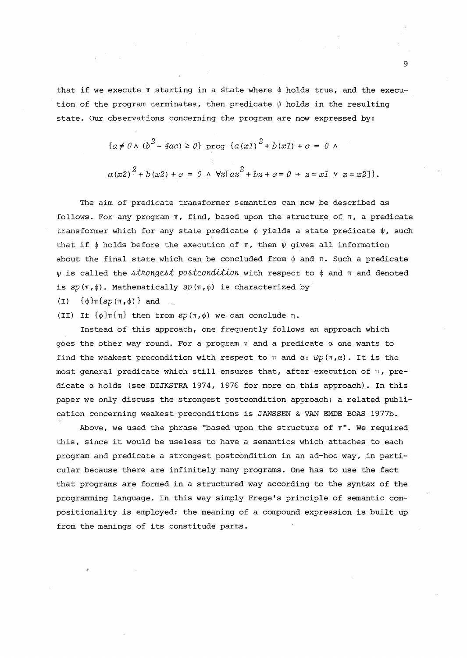that if we execute  $\pi$  starting in a state where  $\phi$  holds true, and the execution of the program terminates, then predicate  $\psi$  holds in the resulting state. Our observations concerning the program are now expressed by:

$$
\{a \neq 0 \land (b^{2} - 4ac) \geq 0\} \text{ prog } \{a(x1)^{2} + b(x1) + c = 0 \land
$$
  

$$
a(x2)^{2} + b(x2) + c = 0 \land \forall z[az^{2} + bz + c = 0 \rightarrow z = x1 \lor z = x2]\}.
$$

The aim of predicate transformer semantics can now be described as follows. For any program  $\pi$ , find, based upon the structure of  $\pi$ , a predicate transformer which for any state predicate  $\phi$  yields a state predicate  $\psi$ , such that if  $\phi$  holds before the execution of  $\pi$ , then  $\psi$  gives all information about the final state which can be concluded from  $\phi$  and  $\pi$ . Such a predicate  $ψ$  is called the *Strongest postcondition* with respect to  $φ$  and TT and denoted is  $sp(\pi,\phi)$ . Mathematically  $sp(\pi,\phi)$  is characterized by

(I)  $\{\phi\}\pi\{sp(\pi,\phi)\}\$  and

(II) If  $\{\phi\}\pi\{\eta\}$  then from  $sp(\pi,\phi)$  we can conclude  $\eta$ .

Instead of this approach, one frequently follows an approach which goes the other way round. For a program  $\pi$  and a predicate  $\alpha$  one wants to find the weakest precondition with respect to  $\pi$  and  $\alpha$ :  $wp(\pi,\alpha)$ . It is the most general predicate which still ensures that, after execution of  $\pi$ , predicate  $\alpha$  holds (see DIJKSTRA 1974, 1976 for more on this approach). In this paper we only discuss the strongest postcondition approach; a related publication concerning weakest preconditions is JANSSEN & VAN EMDE BOAS 1977b.

Above, we used the phrase "based upon the structure of  $\pi$ ". We required this, since it would be useless to have a semantics which attaches to each program and predicate a strongest postcondition in an ad-hoc way, in particular because there are infinitely many programs. One has to use the fact that programs are formed in a structured way according to the syntax of the programming language. In this way simply Frege's principle of semantic compositionality is employed: the meaning of a compound expression is built up from the manings of its constitude parts.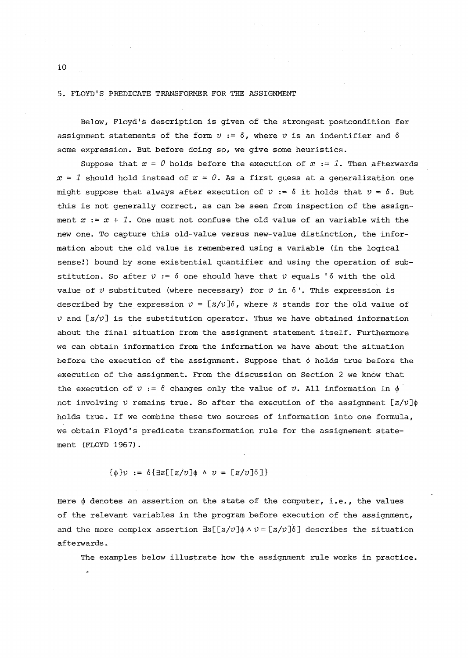### 5. FLOYD'S PREDICATE TRANSFORMER FOR THE ASSIGNMENT

Below, Floyd's description is given of the strongest postcondition for assignment statements of the form  $v := \delta$ , where v is an indentifier and  $\delta$ some expression. But before doing so, we give some heuristics.

Suppose that  $x = 0$  holds before the execution of  $x := 1$ . Then afterwards  $x = 1$  should hold instead of  $x = 0$ . As a first quess at a generalization one might suppose that always after execution of  $v := \delta$  it holds that  $v = \delta$ . But this is not generally correct, as can be seen from inspection of the assignment  $x := x + 1$ . One must not confuse the old value of an variable with the new one. To capture this old-value versus new-value distinction, the information about the old value is remembered using a variable (in the logical sense!) bound by some existential quantifier and using the operation of substitution. So after  $v := \delta$  one should have that  $v$  equals ' $\delta$  with the old value of  $\nu$  substituted (where necessary) for  $\nu$  in  $\delta'$ . This expression is described by the expression  $v = [z/v]\delta$ , where *z* stands for the old value of  $\nu$  and  $\left[\frac{z}{\nu}\right]$  is the substitution operator. Thus we have obtained information about the final situation from the assignment statement itself. Furthermore we can obtain information from the information we have about the situation before the execution of the assignment. Suppose that  $\phi$  holds true before the execution of the assignment. From the discussion on Section 2 we know that the execution of  $v := \delta$  changes only the value of  $v$ . All information in  $\phi$ not involving *v* remains true. So after the execution of the assignment *[z/V]\$*  holds true. If we combine these two sources of information into one formula, we obtain Floyd's predicate transformation rule for the assignement statement (FLOYD 1967).

 ${\phi}v := {\delta}[\exists z[[z/v]\phi \land v = [z/v]\delta]]$ 

Here  $\phi$  denotes an assertion on the state of the computer, i.e., the values of the relevant variables in the program before execution of the assignment, and the more complex assertion  $\exists z[[z/v]\phi \wedge v = [z/v]\delta]$  describes the situation afterwards.

The examples below illustrate how the assignment rule works in practice.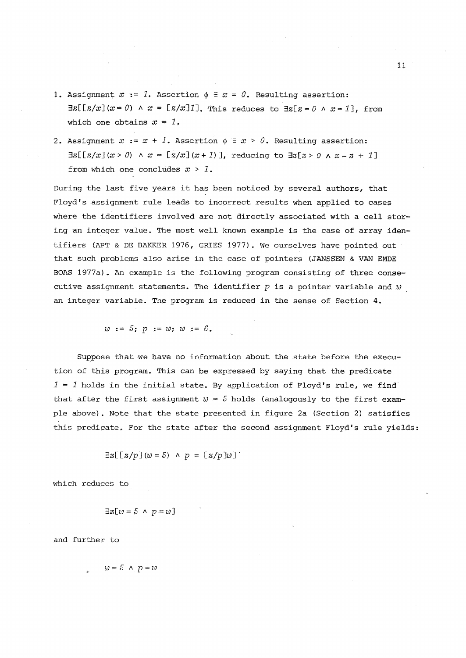- 1. Assignment  $x := 1$ . Assertion  $\phi \equiv x = 0$ . Resulting assertion:  $\exists z[[z/x](x=0) \land x=[z/x]1]$ . This reduces to  $\exists z[z=0 \land x=1]$ , from which one obtains  $x = 1$ .
- 2. Assignment  $x := x + 1$ . Assertion  $\phi \equiv x > 0$ . Resulting assertion:  $\exists z[[z/x](x > 0) \land x = [z/x](x + 1)]$ , reducing to  $\exists z[(z > 0 \land x = z + 1)]$ from which one concludes *x* > *1.*

During the last five years it has been noticed by several authors, that Floyd's assignment rule leads to incorrect results when applied to cases where the identifiers involved are not directly associated with a cell storing an integer value. The most well known example is the case of array identifiers (APT & DE BAKKER 1976, GRIES 1977). We ourselves have pointed out that such problems also arise in the case of pointers {JANSSEN & VAN EMDE BOAS 1977a). An example is the following program consisting of three consecutive assignment statements. The identifier  $p$  is a pointer variable and  $w$ an integer variable. The program is reduced in the sense of Section 4.

*<sup>W</sup>*:= *5;* p := *W; W* := *6.* 

Suppose that we have no information about the state before the execution of this program. This can be expressed by saying that the predicate  $1 = 1$  holds in the initial state. By application of Floyd's rule, we find that after the first assignment  $w = 5$  holds (analogously to the first example above). Note that the state presented in figure 2a (Section 2) satisfies this predicate. For the state after the second assignment Floyd's rule yields:

$$
\exists z \big[ [z/p] (w=5) \land p = [z/p] w \big]
$$

which reduces to

$$
\exists z \lfloor w = 5 \land p = w \rfloor
$$

and further to

$$
w = 5 \quad \land \quad p = w
$$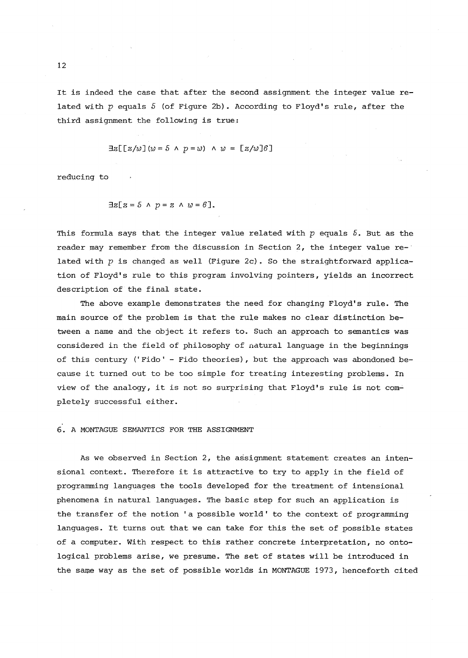It is indeed the case that after the second assignment the integer value related with p equals *5* (of Figure 2b). According to Floyd's rule, after the third assignment the following is true:

$$
\exists z \big[ [z/w] (w = 5 \land p = w) \land w = [z/w]6 \big]
$$

reducing to

$$
\exists z \big[ z = 5 \land p = z \land w = 6 \big].
$$

This formula says that the integer value related with *p* equals *5.* But as the reader may remember from the discussion in Section 2, the integer value related with  $p$  is changed as well (Figure 2c). So the straightforward application of Floyd's rule to this program involving pointers, yields an incorrect description of the final state.

The above example demonstrates the need for changing Floyd's rule. The main source of the problem is that the rule makes no clear distinction between a name and the object it refers to. Such an approach to semantics was considered in the field of philosophy of natural language in the beginnings of this century ('Fido' - Fido theories), but the approach was abondoned because it turned out to be too simple for treating interesting problems. In view of the analogy, it is not so surprising that Floyd's rule is not completely successful either.

6. A MONTAGUE SEMANTICS FOR THE ASSIGNMENT

As we observed in Section 2, the assignment statement creates an intensional context. Therefore it is attractive to try to apply in the field of programming languages the tools developed for the treatment of intensional phenomena in natural languages. The basic step for such an application is the transfer of the notion 'a possible world' to the context of programming languages. It turns out that we can take for this the set of possible states of a computer. With respect to this rather concrete interpretation, no ontological problems arise, we presume. The set of states will be introduced in the same way as the set of possible worlds in MONTAGUE 1973, henceforth cited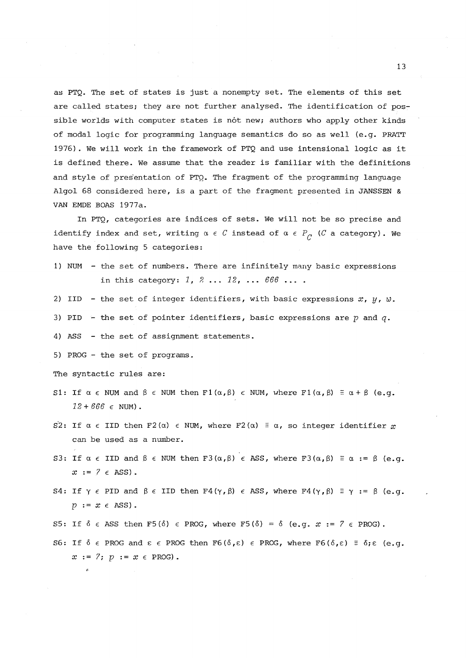as PTQ. The set of states is just a nonempty set. The elements of this set are called states; they are not further analysed. The identification of possible worlds with computer states is not new; authors who apply other kinds of modal logic for programming language semantics do so as well (e.g. PRATT 1976). We will work in the framework of PTQ and use intensional logic as it is defined there. We assume that the reader is familiar with the definitions and style of presentation of PTQ. The fragment of the programming language Algol 68 considered here, is a part of the fragment presented in JANSSEN & VAN EMDE BOAS 1977a.

In PTQ, categories are indices of sets. We will not be so precise and identify index and set, writing  $\alpha \in C$  instead of  $\alpha \in P_{\rho}$  (C a category). We have the following 5 categories:

- 1) NUM the set of numbers. There are infinitely many basic expressions in this category: *1,* ?, ••• *12,* ... *666* ....
- 2) IID the set of integer identifiers, with basic expressions  $x$ ,  $y$ ,  $w$ .
- 3) PID the set of pointer identifiers, basic expressions are  $p$  and  $q$ .
- 4) ASS the set of assignment statements.
- 5) PROG the set of programs.
- The syntactic rules are:
- S1: If  $\alpha \in \text{NUM}$  and  $\beta \in \text{NUM}$  then  $F1(\alpha, \beta) \in \text{NUM}$ , where  $F1(\alpha, \beta) \equiv \alpha + \beta$  (e.g.  $12 + 666 \in$  NUM).
- s2: If  $\alpha \in$  IID then F2( $\alpha$ )  $\epsilon$  NUM, where F2( $\alpha$ ) =  $\alpha$ , so integer identifier  $x$ can be used as a number.
- S3: If  $\alpha \in$  IID and  $\beta \in$  NUM then  $F3(\alpha,\beta) \in$  ASS, where  $F3(\alpha,\beta) \equiv \alpha := \beta$  (e.g.  $x := 7 \in ASS$ .
- S4: If  $\gamma \in$  PID and  $\beta \in$  IID then F4( $\gamma$ ,  $\beta$ )  $\in$  ASS, where F4( $\gamma$ ,  $\beta$ )  $\equiv \gamma := \beta$  (e.g.  $p := x \in \text{ASS}.$
- S5: If  $\delta \in ASS$  then F5( $\delta$ )  $\in$  PROG, where F5( $\delta$ ) =  $\delta$  (e.g.  $x := 7 \in PROG$ ).
- S6: If  $\delta \in \text{PROG}$  and  $\varepsilon \in \text{PROG}$  then  $F6(\delta, \varepsilon) \in \text{PROG}$ , where  $F6(\delta, \varepsilon) \equiv \delta; \varepsilon$  (e.g.  $x := 7; p := x \in PROG$ .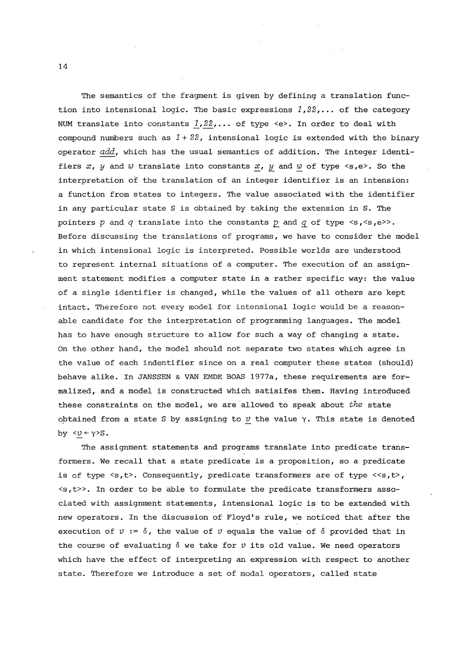The semantics of the fragment is given by defining a translation function into intensional logic. The basic expressions *1,22, .••* of the category NUM translate into constants  $1,22, \ldots$  of type <e>. In order to deal with compound numbers such as  $1+22$ , intensional logic is extended with the binary operator *add,* which has the usual semantics of addition. The integer identifiers  $x$ ,  $y$  and  $w$  translate into constants  $x$ ,  $y$  and  $w$  of type  $\le$ s,e>. So the interpretation of the translation of an integer identifier is an intension: a function from states to integers. The value associated with the identifier in any particular state S is obtained by taking the extension in S. The pointers p and q translate into the constants p and q of type  $\langle s, \langle s, e \rangle \rangle$ . Before discussing the translations of programs, we have to consider the model in which intensional logic is interpreted. Possible worlds are understood to represent internal situations of a computer. The execution of an assignment statement modifies a computer state in a rather specific way: the value of a single identifier is changed, while the values of all others are kept intact. Therefore not every model for intensional logic would be a reasonable candidate for the interpretation of programming languages. The model has to have enough structure to allow for such a way of changing a state. On the other hand, the model should not separate two states which agree in the value of each indentifier since on a real computer these states (should) behave alike. In JANSSEN & VAN EMDE BOAS 1977a, these requirements are formalized, and a model is constructed which satisifes them. Having introduced these constraints on the model, we are allowed to speak about *the* state obtained from a state S by assigning to  $v$  the value  $\gamma$ . This state is denoted by  $\langle v + \gamma \rangle S$ .

The assignment statements and programs translate into predicate transformers. We recall that a state predicate is a proposition, so a predicate is of type <s,t>. Consequently, predicate transformers are of type <<s,t>,  $\langle s,t\rangle$ . In order to be able to formulate the predicate transformers associated with assignment statements, intensional logic is to be extended with new operators. In the discussion of Floyd's rule, we noticed that after the execution of  $v := \delta$ , the value of  $v$  equals the value of  $\delta$  provided that in the course of evaluating  $\delta$  we take for  $v$  its old value. We need operators which have the effect of interpreting an expression with respect to another state. Therefore we introduce a set of modal operators, called state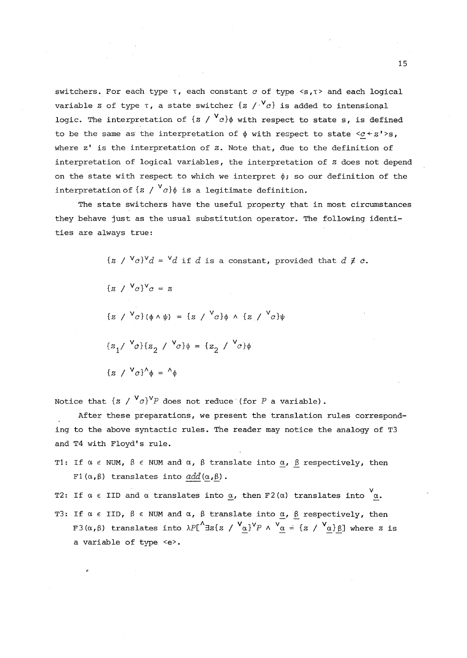switchers. For each type  $\tau$ , each constant  $c$  of type  $\leq$ , $\tau$ > and each logical variable *z* of type  $\tau$ , a state switcher  $\{z \; / \; {}^{\vee}c\}$  is added to intensional logic. The interpretation of  $\{z \mid {^{\mathsf{V}}c}\}\phi$  with respect to state s, is defined to be the same as the interpretation of  $\phi$  with respect to state  $\langle c + z^2 \rangle$ s, where z' is the interpretation of *z.* Note that, due to the definition of interpretation of logical variables, the interpretation of z does not depend on the state with respect to which we interpret  $\phi$ ; so our definition of the interpretation of  $\{z \mid {^{\vee}c}\}\$  is a legitimate definition.

The state switchers have the useful property that in most circumstances they behave just as the usual substitution operator. The following identities are always true:

 $\{z \mid y \in C\}$ <sup>V</sup> $d = \forall d$  if  $d$  is a constant, provided that  $d \neq c$ .

$$
\{z \mid y'c\}v_c = z
$$
  

$$
\{z \mid y'c\}(\phi \land \psi) = \{z \mid y'c\} \phi \land \{z \mid y'c\} \psi
$$
  

$$
\{z_1 \mid y'c\} \{z_2 \mid y'c\} \phi = \{z_2 \mid y'c\} \phi
$$
  

$$
\{z \mid y'c\} \phi = \phi
$$

Notice that  $\{z \mid {^Vc}\}^VP$  does not reduce (for  $P$  a variable).

After these preparations, we present the translation rules corresponding to the above syntactic rules. The reader may notice the analogy of T3 and T4 with Floyd's rule.

T1: If  $\alpha \in NUM$ ,  $\beta \in NUM$  and  $\alpha$ ,  $\beta$  translate into  $\alpha$ ,  $\beta$  respectively, then Fl( $\alpha, \beta$ ) translates into  $add(\alpha, \beta)$ .

T2: If  $\alpha \in$  IID and  $\alpha$  translates into  $\alpha$ , then F2( $\alpha$ ) translates into  $\alpha$ .

T3: If  $\alpha \in$  IID,  $\beta \in$  NUM and  $\alpha$ ,  $\beta$  translate into  $\alpha$ ,  $\beta$  respectively, then F3( $\alpha$ , $\beta$ ) translates into  $\lambda P[\begin{pmatrix} A & A & B \\ B & A & C \end{pmatrix}]^V P$  A  $V_{\alpha} = \{z \mid Z \mid V_{\alpha}\}$  where z is a variable of type <e>.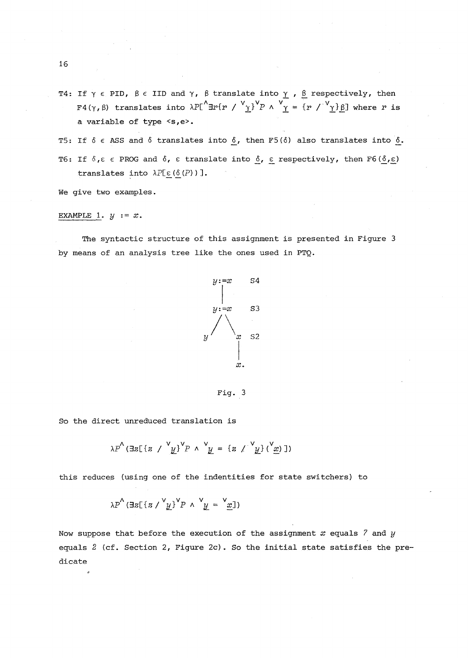T4: If  $\gamma \in$  PID,  $\beta \in$  IID and  $\gamma$ ,  $\beta$  translate into  $\underline{\gamma}$ ,  $\underline{\beta}$  respectively, then F4(y,13) translates into AP[A3r{r / v}\_}vp A vy = {r / vr\_}\_§\_] where r is a variable of type <s,e>.

T5: If  $\delta \in ASS$  and  $\delta$  translates into  $\delta$ , then F5( $\delta$ ) also translates into  $\delta$ . T6: If  $\delta$ , $\epsilon \in$  PROG and  $\delta$ ,  $\epsilon$  translate into  $\underline{\delta}$ ,  $\underline{\epsilon}$  respectively, then F6( $\underline{\delta}$ , $\underline{\epsilon}$ ) translates into  $\lambda P[\underline{\varepsilon}(\underline{\delta}(P))]$ .

We give two examples.

EXAMPLE 1.  $y := x$ .

The syntactic structure of this assignment is presented in Figure 3 by means of an analysis tree like the ones used in PTQ.



Fig. <sup>3</sup>

So the direct unreduced translation is

$$
\lambda P^{\wedge}(\exists z \big[\{z \ / \ {}^{\vee}y\big]^{\vee} P \ \wedge \ {}^{\vee}y = \{z \ / \ {}^{\vee}y\} \, (\underline{^{\vee}x}) \, ])
$$

this reduces (using one of the indentities for state switchers) to

$$
\lambda P^{\wedge}(\exists z \big[\{z \; / \; {}^{\vee}\underline{y}\big]^{\vee} P \; \wedge \; {}^{\vee}\underline{y} \; = \; {}^{\vee}\underline{x}\big])
$$

Now suppose that before the execution of the assignment *x* equals *7* and y equals 2 (cf. Section 2, Figure 2c). So the initial state satisfies the predicate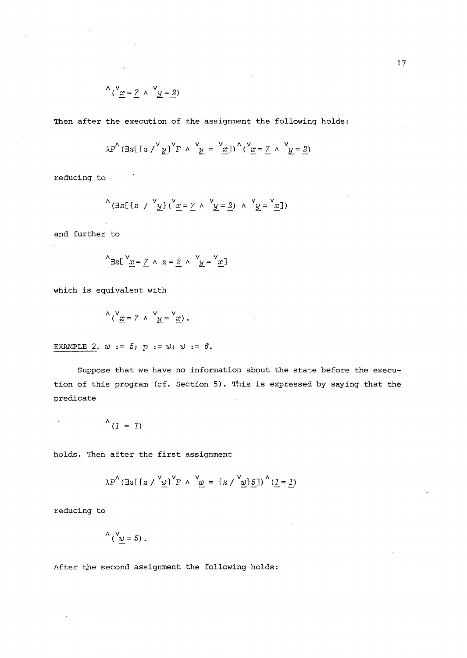$$
\wedge (\vee_{x} = 7 \wedge \vee_{y} = 2)
$$

Then after the execution of the assignment the following holds:

$$
\lambda P^{\wedge} \left(\exists z \big[\{z \; \middle/ \; {}^{\vee}y\big]^{\vee} P \; \land \; {}^{\vee}y = \; {}^{\vee}x\big] \right)^{\wedge} \left({}^{\vee}x = ? \; \land \; {}^{\vee}y = 2\right)
$$

reducing to

$$
\wedge (\exists z [ \{ z \ / \ {}^{\vee} \underline{y} \} ( \underline{z} = \underline{7} \ \wedge \ {}^{\vee} \underline{y} = \underline{2}) \ \wedge \ {}^{\vee} \underline{y} = \underline{y} \underline{z} ] )
$$

and further to

$$
\Delta z = \underline{y} - z = 2
$$

which is equivalent with

$$
\wedge (\frac{\vee}{\underline{x}} = 7 \wedge \frac{\vee}{\underline{y}} = \frac{\vee}{\underline{x}}).
$$

EXAMPLE 2. *W* := *5;* p := *W; W* := *6.* 

Suppose that we have no information about the state before the execution of this program (cf. Section 5). This is expressed by saying that the predicate

$$
\wedge (1 = 1)
$$

holds. Then after the first assignment

$$
\lambda P^{\wedge}(\exists z \big[\{z \; / \; \frac{\vee_w}{\omega}\big]^{\vee} P \; \wedge \; \frac{\vee_w}{\omega} = \{z \; / \; \frac{\vee_w}{\omega}\big\}\underline{5}\big]^{\wedge}(\underline{1} = \underline{1})
$$

reducing to

$$
\wedge (\underline{w} = 5) .
$$

After the second assignment the following holds: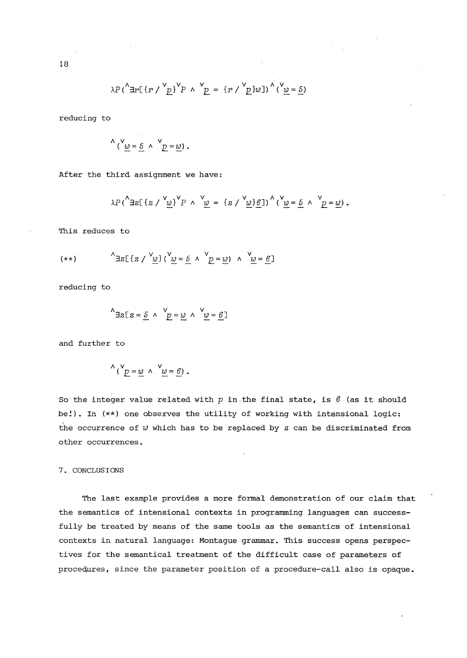$$
\lambda P \left( \left( \ln \left( \frac{1}{2} \right) \right)^{V} P \right) \wedge \left( \frac{1}{2} \right) = \left( \frac{1}{2} \right)^{V} P \left( \ln \left( \frac{1}{2} \right) \right) \wedge \left( \frac{1}{2} \right) = \frac{5}{2}
$$

reducing to

$$
\wedge (\Upsilon_{\underline{w}} = 5 \wedge \Upsilon_{\underline{p}} = \underline{w}).
$$

After the third assignment we have:

$$
\lambda P\left(\begin{array}{c}\lambda\end{array}\right)=z\left[\left\{z\middle/ \begin{array}{c}\nu\\w\end{array}\right\}\right]^{V}P\quad\wedge\quad\frac{\nu}{\underline{\omega}}=\left\{z\middle/ \begin{array}{c}\nu\\ \underline{\omega}\end{array}\right\}\underline{\delta}\right]\right)^{\wedge}\left(\begin{array}{c}\nu\\ \underline{\omega}=\underline{\delta}\end{array}\right.\wedge\quad\frac{\nu}{\underline{\rho}}=\underline{\omega}\right).
$$

This reduces to

$$
(**) \qquad \qquad \Delta z [z / \frac{v_w}{w} (\frac{v_w}{w} - \frac{5}{2} \wedge \frac{v_w}{w} - \frac{w}{w}) \wedge \frac{v_w}{w} - \frac{6}{2}]
$$

reducing to

$$
\Delta z[z = 5 \wedge \Delta y = \underline{w} \wedge \Delta y = 6]
$$

and further to

$$
\wedge (\vee_{p=\underline{w}} \wedge \vee_{\underline{w}=\underline{0}}).
$$

So the integer value related with  $p$  in the final state, is  $6$  (as it should be!). In (\*\*) one observes the utility of working with intensional logic: the occurrence of *W* which has to be replaced by z can be discriminated from other occurrences.

# 7. CONCLUSIONS

The last example provides a more formal demonstration of our claim that the semantics of intensional contexts in programming languages can successfully be treated by means of the same tools as the semantics of intensional contexts in natural language: Montague grammar. This success opens perspectives for the semantical treatment of the difficult case of parameters of procequres, since the parameter position of a procedure-call also is opaque.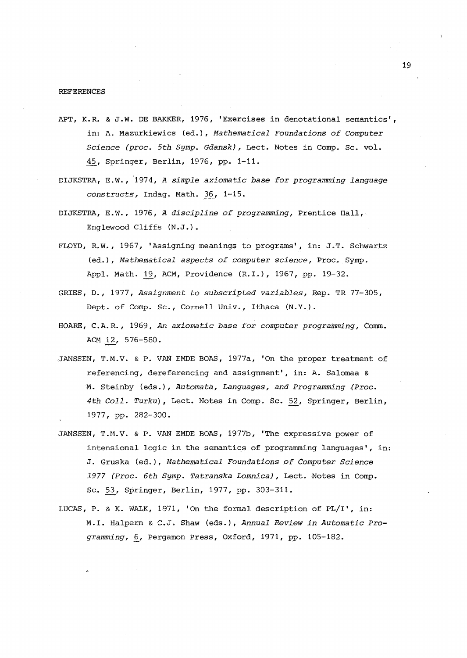#### **REFERENCES**

- APT, K.R. & J.W. DE BAKKER, 1976, 'Exercises in denotational semantics', in: A. Mazurkiewics (ed.), *Mathematical Foundations of Computer Science (proc. 5th Symp. Gdansk),* Leet. Notes in Comp. Sc. vol. 45, Springer, Berlin, 1976, pp. 1-11.
- DIJKSTRA, E.W., ·1974, *A simple axiomatic base for programming language constructs,* Indag. Math. 36, 1-15.
- DIJKSTRA, E.W., 1976, *A discipline of programming,* Prentice Hall, Englewood Cliffs (N.J.).
- FLOYD, R.W., 1967, 'Assigning meanings to programs', in: J.T. Schwartz (ed.), *Mathematical aspects of computer science,* Proc. Syrnp. Appl. Math. 19, ACM, Providence (R.I.), 1967, pp. 19-32.
- GRIES, D., 1977, *Assignment to subscripted variables,* Rep. TR 77-305, Dept. of Comp. Sc., Cornell Univ., Ithaca (N.Y.).
- HOARE, C.A.R., 1969, *An axiomatic base for computer programming,* Comm. ACM 12, 576-580.
- JANSSEN, T.M.V. & P. VAN EMDE BOAS, 1977a, 'On the proper treatment of referencing, dereferencing and assignment', in: A. Salomaa & M. Steinby (eds.), *Automata, Languages, and Programming (Proc. 4th Coll. Turku),* Leet. Notes in Comp. Sc. 52, Springer, Berlin, 1977, pp. 282-300.
- JANSSEN, T.M.V. & P. VAN EMDE BOAS, 1977b, 'The expressive power of intensional logic in the semantics of programming languages', in: J. Gruska (ed.), *Mathematical Foundations of Computer Science 1977 (Proc. 6th Symp. Tatranska Lomnica),* Leet. Notes in Comp. Sc. *2i,* Springer, Berlin, 1977, pp. 303-311.
- LUCAS, P. & K. WALK, 1971, 'On the formal description of PL/I', in: M.I. Halpern & C.J. Shaw (eds.), *Annual Review in Automatic Programming,.§\_,* Pergamon Press, Oxford, 1971, pp. 105-182.